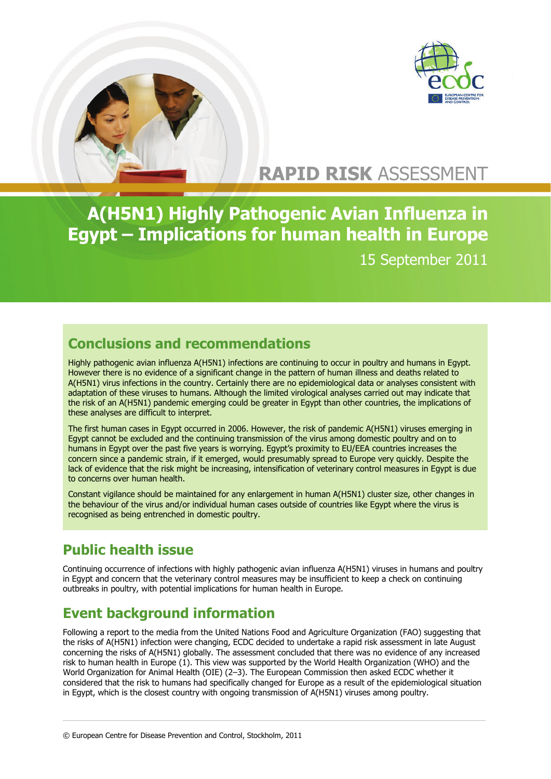



# **RAPID RISK** ASSESSMENT

**A(H5N1) Highly Pathogenic Avian Influenza in Egypt – Implications for human health in Europe**  15 September 2011

## **Conclusions and recommendations**

Highly pathogenic avian influenza A(H5N1) infections are continuing to occur in poultry and humans in Egypt. However there is no evidence of a significant change in the pattern of human illness and deaths related to A(H5N1) virus infections in the country. Certainly there are no epidemiological data or analyses consistent with adaptation of these viruses to humans. Although the limited virological analyses carried out may indicate that the risk of an A(H5N1) pandemic emerging could be greater in Egypt than other countries, the implications of these analyses are difficult to interpret.

The first human cases in Egypt occurred in 2006. However, the risk of pandemic A(H5N1) viruses emerging in Egypt cannot be excluded and the continuing transmission of the virus among domestic poultry and on to humans in Egypt over the past five years is worrying. Egypt's proximity to EU/EEA countries increases the concern since a pandemic strain, if it emerged, would presumably spread to Europe very quickly. Despite the lack of evidence that the risk might be increasing, intensification of veterinary control measures in Egypt is due to concerns over human health.

Constant vigilance should be maintained for any enlargement in human A(H5N1) cluster size, other changes in the behaviour of the virus and/or individual human cases outside of countries like Egypt where the virus is recognised as being entrenched in domestic poultry.

## **Public health issue**

Continuing occurrence of infections with highly pathogenic avian influenza A(H5N1) viruses in humans and poultry in Egypt and concern that the veterinary control measures may be insufficient to keep a check on continuing outbreaks in poultry, with potential implications for human health in Europe.

## **Event background information**

Following a report to the media from the United Nations Food and Agriculture Organization (FAO) suggesting that the risks of A(H5N1) infection were changing, ECDC decided to undertake a rapid risk assessment in late August concerning the risks of A(H5N1) globally. The assessment concluded that there was no evidence of any increased risk to human health in Europe (1). This view was supported by the World Health Organization (WHO) and the World Organization for Animal Health (OIE) (2–3). The European Commission then asked ECDC whether it considered that the risk to humans had specifically changed for Europe as a result of the epidemiological situation in Egypt, which is the closest country with ongoing transmission of A(H5N1) viruses among poultry.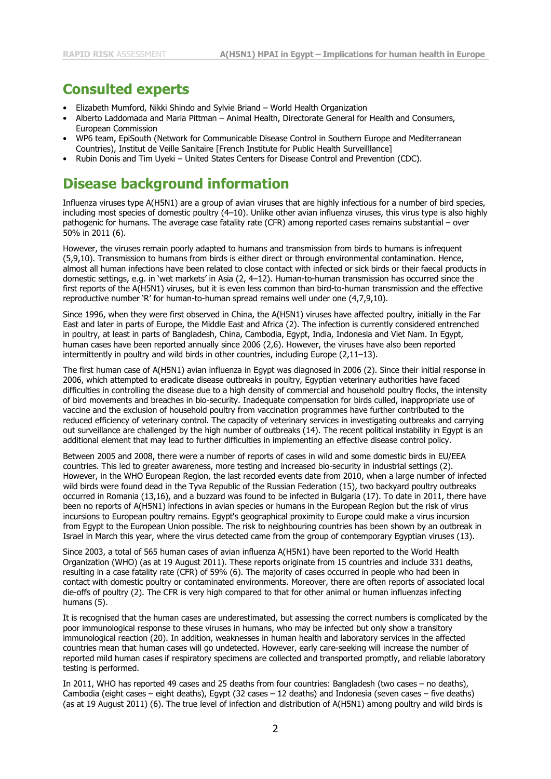#### **Consulted experts**

- Elizabeth Mumford, Nikki Shindo and Sylvie Briand World Health Organization
- Alberto Laddomada and Maria Pittman Animal Health, Directorate General for Health and Consumers, European Commission
- WP6 team, EpiSouth (Network for Communicable Disease Control in Southern Europe and Mediterranean Countries), Institut de Veille Sanitaire [French Institute for Public Health Surveilllance]
- Rubin Donis and Tim Uyeki United States Centers for Disease Control and Prevention (CDC).

#### **Disease background information**

Influenza viruses type A(H5N1) are a group of avian viruses that are highly infectious for a number of bird species, including most species of domestic poultry (4–10). Unlike other avian influenza viruses, this virus type is also highly pathogenic for humans. The average case fatality rate (CFR) among reported cases remains substantial – over 50% in 2011 (6).

However, the viruses remain poorly adapted to humans and transmission from birds to humans is infrequent (5,9,10). Transmission to humans from birds is either direct or through environmental contamination. Hence, almost all human infections have been related to close contact with infected or sick birds or their faecal products in domestic settings, e.g. in 'wet markets' in Asia (2, 4–12). Human-to-human transmission has occurred since the first reports of the A(H5N1) viruses, but it is even less common than bird-to-human transmission and the effective reproductive number 'R' for human-to-human spread remains well under one (4,7,9,10).

Since 1996, when they were first observed in China, the A(H5N1) viruses have affected poultry, initially in the Far East and later in parts of Europe, the Middle East and Africa (2). The infection is currently considered entrenched in poultry, at least in parts of Bangladesh, China, Cambodia, Egypt, India, Indonesia and Viet Nam. In Egypt, human cases have been reported annually since 2006 (2,6). However, the viruses have also been reported intermittently in poultry and wild birds in other countries, including Europe (2,11–13).

The first human case of A(H5N1) avian influenza in Egypt was diagnosed in 2006 (2). Since their initial response in 2006, which attempted to eradicate disease outbreaks in poultry, Egyptian veterinary authorities have faced difficulties in controlling the disease due to a high density of commercial and household poultry flocks, the intensity of bird movements and breaches in bio-security. Inadequate compensation for birds culled, inappropriate use of vaccine and the exclusion of household poultry from vaccination programmes have further contributed to the reduced efficiency of veterinary control. The capacity of veterinary services in investigating outbreaks and carrying out surveillance are challenged by the high number of outbreaks (14). The recent political instability in Egypt is an additional element that may lead to further difficulties in implementing an effective disease control policy.

Between 2005 and 2008, there were a number of reports of cases in wild and some domestic birds in EU/EEA countries. This led to greater awareness, more testing and increased bio-security in industrial settings (2). However, in the WHO European Region, the last recorded events date from 2010, when a large number of infected wild birds were found dead in the Tyva Republic of the Russian Federation (15), two backyard poultry outbreaks occurred in Romania (13,16), and a buzzard was found to be infected in Bulgaria (17). To date in 2011, there have been no reports of A(H5N1) infections in avian species or humans in the European Region but the risk of virus incursions to European poultry remains. Egypt's geographical proximity to Europe could make a virus incursion from Egypt to the European Union possible. The risk to neighbouring countries has been shown by an outbreak in Israel in March this year, where the virus detected came from the group of contemporary Egyptian viruses (13).

Since 2003, a total of 565 human cases of avian influenza A(H5N1) have been reported to the World Health Organization (WHO) (as at 19 August 2011). These reports originate from 15 countries and include 331 deaths, resulting in a case fatality rate (CFR) of 59% (6). The majority of cases occurred in people who had been in contact with domestic poultry or contaminated environments. Moreover, there are often reports of associated local die-offs of poultry (2). The CFR is very high compared to that for other animal or human influenzas infecting humans (5).

It is recognised that the human cases are underestimated, but assessing the correct numbers is complicated by the poor immunological response to these viruses in humans, who may be infected but only show a transitory immunological reaction (20). In addition, weaknesses in human health and laboratory services in the affected countries mean that human cases will go undetected. However, early care-seeking will increase the number of reported mild human cases if respiratory specimens are collected and transported promptly, and reliable laboratory testing is performed.

In 2011, WHO has reported 49 cases and 25 deaths from four countries: Bangladesh (two cases – no deaths), Cambodia (eight cases – eight deaths), Egypt (32 cases – 12 deaths) and Indonesia (seven cases – five deaths) (as at 19 August 2011) (6). The true level of infection and distribution of A(H5N1) among poultry and wild birds is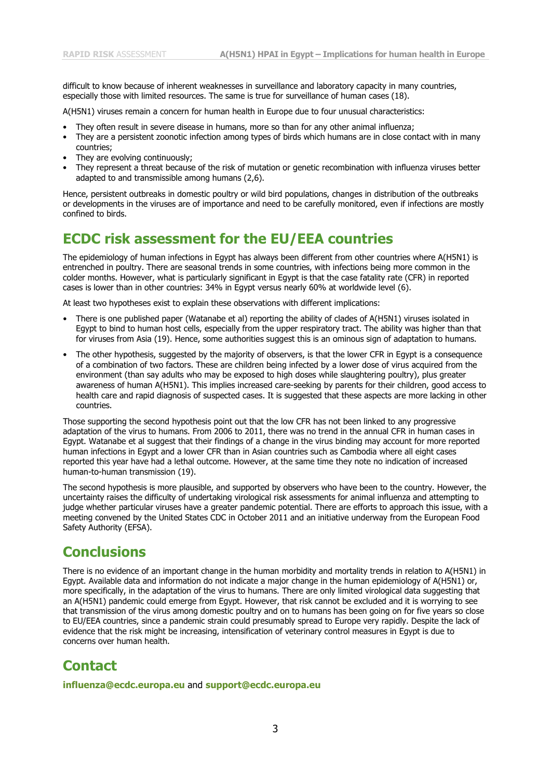difficult to know because of inherent weaknesses in surveillance and laboratory capacity in many countries, especially those with limited resources. The same is true for surveillance of human cases (18).

A(H5N1) viruses remain a concern for human health in Europe due to four unusual characteristics:

- They often result in severe disease in humans, more so than for any other animal influenza;
- They are a persistent zoonotic infection among types of birds which humans are in close contact with in many countries;
- They are evolving continuously;
- They represent a threat because of the risk of mutation or genetic recombination with influenza viruses better adapted to and transmissible among humans (2,6).

Hence, persistent outbreaks in domestic poultry or wild bird populations, changes in distribution of the outbreaks or developments in the viruses are of importance and need to be carefully monitored, even if infections are mostly confined to birds.

#### **ECDC risk assessment for the EU/EEA countries**

The epidemiology of human infections in Egypt has always been different from other countries where A(H5N1) is entrenched in poultry. There are seasonal trends in some countries, with infections being more common in the colder months. However, what is particularly significant in Egypt is that the case fatality rate (CFR) in reported cases is lower than in other countries: 34% in Egypt versus nearly 60% at worldwide level (6).

At least two hypotheses exist to explain these observations with different implications:

- There is one published paper (Watanabe et al) reporting the ability of clades of A(H5N1) viruses isolated in Egypt to bind to human host cells, especially from the upper respiratory tract. The ability was higher than that for viruses from Asia (19). Hence, some authorities suggest this is an ominous sign of adaptation to humans.
- The other hypothesis, suggested by the majority of observers, is that the lower CFR in Egypt is a consequence of a combination of two factors. These are children being infected by a lower dose of virus acquired from the environment (than say adults who may be exposed to high doses while slaughtering poultry), plus greater awareness of human A(H5N1). This implies increased care-seeking by parents for their children, good access to health care and rapid diagnosis of suspected cases. It is suggested that these aspects are more lacking in other countries.

Those supporting the second hypothesis point out that the low CFR has not been linked to any progressive adaptation of the virus to humans. From 2006 to 2011, there was no trend in the annual CFR in human cases in Egypt. Watanabe et al suggest that their findings of a change in the virus binding may account for more reported human infections in Egypt and a lower CFR than in Asian countries such as Cambodia where all eight cases reported this year have had a lethal outcome. However, at the same time they note no indication of increased human-to-human transmission (19).

The second hypothesis is more plausible, and supported by observers who have been to the country. However, the uncertainty raises the difficulty of undertaking virological risk assessments for animal influenza and attempting to judge whether particular viruses have a greater pandemic potential. There are efforts to approach this issue, with a meeting convened by the United States CDC in October 2011 and an initiative underway from the European Food Safety Authority (EFSA).

### **Conclusions**

There is no evidence of an important change in the human morbidity and mortality trends in relation to A(H5N1) in Egypt. Available data and information do not indicate a major change in the human epidemiology of A(H5N1) or, more specifically, in the adaptation of the virus to humans. There are only limited virological data suggesting that an A(H5N1) pandemic could emerge from Egypt. However, that risk cannot be excluded and it is worrying to see that transmission of the virus among domestic poultry and on to humans has been going on for five years so close to EU/EEA countries, since a pandemic strain could presumably spread to Europe very rapidly. Despite the lack of evidence that the risk might be increasing, intensification of veterinary control measures in Egypt is due to concerns over human health.

### **Contact**

**[influenza@ecdc.europa.eu](mailto:influenza@ecdc.europa.eu)** and **[support@ecdc.europa.eu](mailto:support@ecdc.europa.eu)**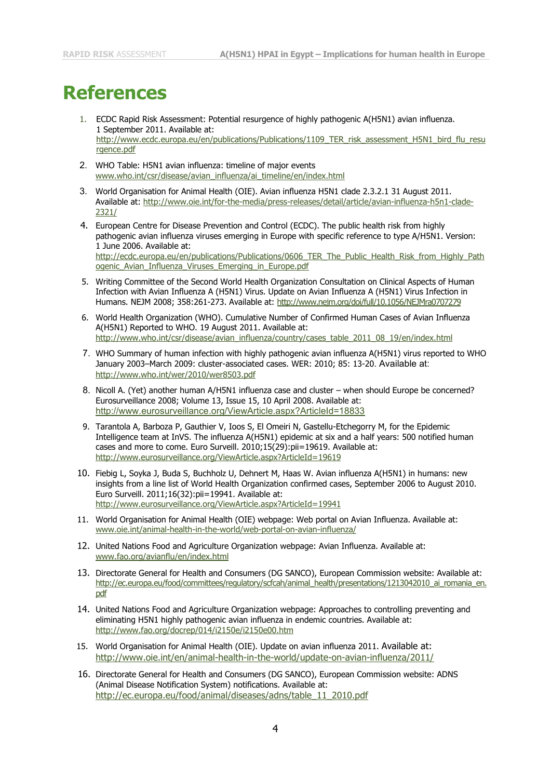# **References**

- 1. ECDC Rapid Risk Assessment: Potential resurgence of highly pathogenic A(H5N1) avian influenza. 1 September 2011. Available at: [http://www.ecdc.europa.eu/en/publications/Publications/1109\\_TER\\_risk\\_assessment\\_H5N1\\_bird\\_flu\\_resu](http://www.ecdc.europa.eu/en/publications/Publications/1109_TER_risk_assessment_H5N1_bird_flu_resurgence.pdf) [rgence.pdf](http://www.ecdc.europa.eu/en/publications/Publications/1109_TER_risk_assessment_H5N1_bird_flu_resurgence.pdf)
- 2. WHO Table: H5N1 avian influenza: timeline of major events [www.who.int/csr/disease/avian\\_influenza/ai\\_timeline/en/index.html](http://www.who.int/csr/disease/avian_influenza/ai_timeline/en/index.html)
- 3. World Organisation for Animal Health (OIE). Avian influenza H5N1 clade 2.3.2.1 31 August 2011. Available at: [http://www.oie.int/for-the-media/press-releases/detail/article/avian-influenza-h5n1-clade-](http://www.oie.int/for-the-media/press-releases/detail/article/avian-influenza-h5n1-clade-2321/)[2321/](http://www.oie.int/for-the-media/press-releases/detail/article/avian-influenza-h5n1-clade-2321/)
- 4. European Centre for Disease Prevention and Control (ECDC). The public health risk from highly pathogenic avian influenza viruses emerging in Europe with specific reference to type A/H5N1. Version: 1 June 2006. Available at: [http://ecdc.europa.eu/en/publications/Publications/0606\\_TER\\_The\\_Public\\_Health\\_Risk\\_from\\_Highly\\_Path](http://ecdc.europa.eu/en/publications/Publications/0606_TER_The_Public_Health_Risk_from_Highly_Pathogenic_Avian_Influenza_Viruses_Emerging_in_Europe.pdf) [ogenic\\_Avian\\_Influenza\\_Viruses\\_Emerging\\_in\\_Europe.pdf](http://ecdc.europa.eu/en/publications/Publications/0606_TER_The_Public_Health_Risk_from_Highly_Pathogenic_Avian_Influenza_Viruses_Emerging_in_Europe.pdf)
- 5. Writing Committee of the Second World Health Organization Consultation on Clinical Aspects of Human Infection with Avian Influenza A (H5N1) Virus. Update on Avian Influenza A (H5N1) Virus Infection in Humans. NEJM 2008; 358:261-273. Available at:<http://www.nejm.org/doi/full/10.1056/NEJMra0707279>
- 6. World Health Organization (WHO). Cumulative Number of Confirmed Human Cases of Avian Influenza A(H5N1) Reported to WHO. 19 August 2011. Available at: [http://www.who.int/csr/disease/avian\\_influenza/country/cases\\_table\\_2011\\_08\\_19/en/index.html](http://www.who.int/csr/disease/avian_influenza/country/cases_table_2011_08_19/en/index.html)
- 7. WHO Summary of human infection with highly pathogenic avian influenza A(H5N1) virus reported to WHO January 2003–March 2009: cluster-associated cases. WER: 2010; 85: 13-20. Available at: <http://www.who.int/wer/2010/wer8503.pdf>
- 8. Nicoll A. (Yet) another human A/H5N1 influenza case and cluster when should Europe be concerned? Eurosurveillance 2008; Volume 13, Issue 15, 10 April 2008. Available at: <http://www.eurosurveillance.org/ViewArticle.aspx?ArticleId=18833>
- 9. Tarantola A, Barboza P, Gauthier V, Ioos S, El Omeiri N, Gastellu-Etchegorry M, for the Epidemic Intelligence team at InVS. The influenza A(H5N1) epidemic at six and a half years: 500 notified human cases and more to come. Euro Surveill. 2010;15(29):pii=19619. Available at: http://www.eurosurveillance.org/ViewArticle.aspx?ArticleId=19619
- 10. Fiebig L, Soyka J, Buda S, Buchholz U, Dehnert M, Haas W. Avian influenza A(H5N1) in humans: new insights from a line list of World Health Organization confirmed cases, September 2006 to August 2010. Euro Surveill. 2011;16(32):pii=19941. Available at: <http://www.eurosurveillance.org/ViewArticle.aspx?ArticleId=19941>
- 11. World Organisation for Animal Health (OIE) webpage: Web portal on Avian Influenza. Available at: [www.oie.int/animal-health-in-the-world/web-portal-on-avian-influenza/](http://www.oie.int/animal-health-in-the-world/web-portal-on-avian-influenza/)
- 12. United Nations Food and Agriculture Organization webpage: Avian Influenza. Available at: [www.fao.org/avianflu/en/index.html](http://www.fao.org/avianflu/en/index.html)
- 13. Directorate General for Health and Consumers (DG SANCO), European Commission website: Available at: [http://ec.europa.eu/food/committees/regulatory/scfcah/animal\\_health/presentations/1213042010\\_ai\\_romania\\_en.](http://ec.europa.eu/food/committees/regulatory/scfcah/animal_health/presentations/1213042010_ai_romania_en.pdf) [pdf](http://ec.europa.eu/food/committees/regulatory/scfcah/animal_health/presentations/1213042010_ai_romania_en.pdf)
- 14. United Nations Food and Agriculture Organization webpage: Approaches to controlling preventing and eliminating H5N1 highly pathogenic avian influenza in endemic countries. Available at: http://www.fao.org/docrep/014/i2150e/i2150e00.htm
- 15. World Organisation for Animal Health (OIE). Update on avian influenza 2011. Available at: http://www.oie.int/en/animal-health-in-the-world/update-on-avian-influenza/2011/
- 16. Directorate General for Health and Consumers (DG SANCO), European Commission website: ADNS (Animal Disease Notification System) notifications. Available at: [http://ec.europa.eu/food/animal/diseases/adns/table\\_11\\_2010.pdf](http://ec.europa.eu/food/animal/diseases/adns/table_11_2010.pdf)